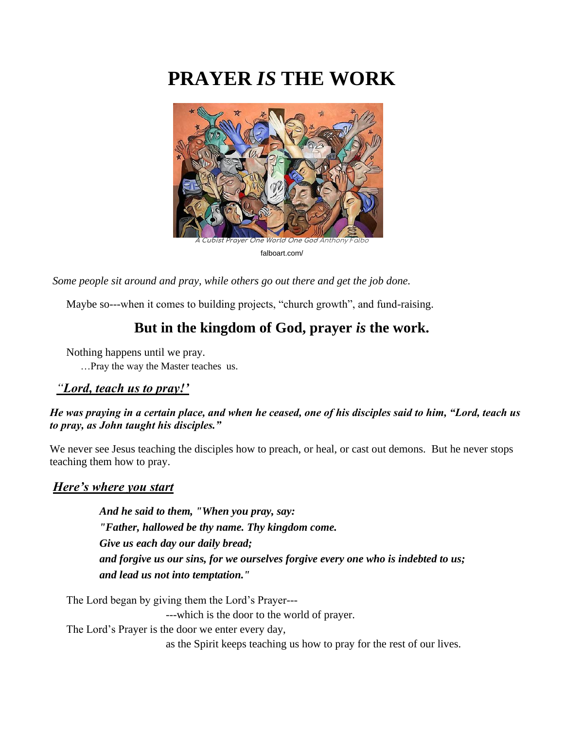# **PRAYER** *IS* **THE WORK**



falboart.com/

*Some people sit around and pray, while others go out there and get the job done.* 

Maybe so---when it comes to building projects, "church growth", and fund-raising.

# **But in the kingdom of God, prayer** *is* **the work.**

Nothing happens until we pray.

…Pray the way the Master teaches us.

#### *"Lord, teach us to pray!'*

#### *He was praying in a certain place, and when he ceased, one of his disciples said to him, "Lord, teach us to pray, as John taught his disciples."*

We never see Jesus teaching the disciples how to preach, or heal, or cast out demons. But he never stops teaching them how to pray.

#### *Here's where you start*

*And he said to them, "When you pray, say: "Father, hallowed be thy name. Thy kingdom come. Give us each day our daily bread; and forgive us our sins, for we ourselves forgive every one who is indebted to us; and lead us not into temptation."*

The Lord began by giving them the Lord's Prayer---

---which is the door to the world of prayer.

The Lord's Prayer is the door we enter every day,

as the Spirit keeps teaching us how to pray for the rest of our lives.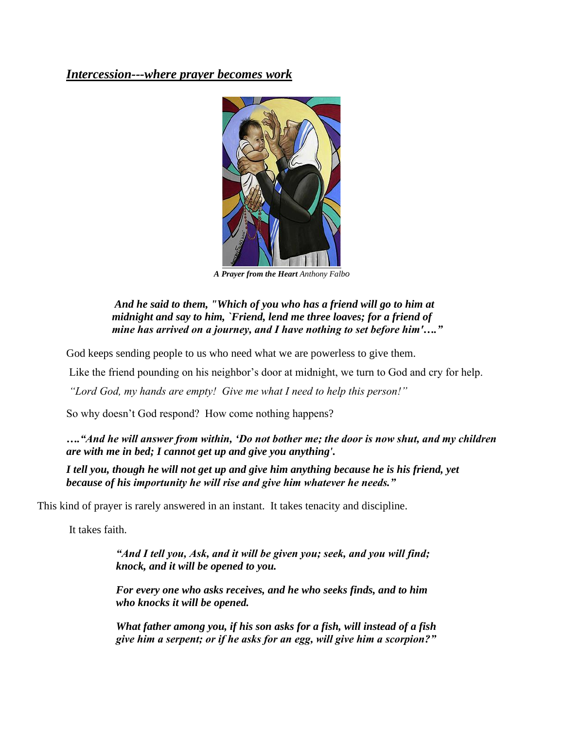### *Intercession---where prayer becomes work*



*A Prayer from the Heart Anthony Falbo*

#### *And he said to them, "Which of you who has a friend will go to him at midnight and say to him, `Friend, lend me three loaves; for a friend of mine has arrived on a journey, and I have nothing to set before him'…."*

God keeps sending people to us who need what we are powerless to give them.

Like the friend pounding on his neighbor's door at midnight, we turn to God and cry for help.

*"Lord God, my hands are empty! Give me what I need to help this person!"*

So why doesn't God respond? How come nothing happens?

*…."And he will answer from within, 'Do not bother me; the door is now shut, and my children are with me in bed; I cannot get up and give you anything'.*

*I tell you, though he will not get up and give him anything because he is his friend, yet because of his importunity he will rise and give him whatever he needs."*

This kind of prayer is rarely answered in an instant. It takes tenacity and discipline.

It takes faith.

*"And I tell you, Ask, and it will be given you; seek, and you will find; knock, and it will be opened to you.*

*For every one who asks receives, and he who seeks finds, and to him who knocks it will be opened.*

*What father among you, if his son asks for a fish, will instead of a fish give him a serpent; or if he asks for an egg, will give him a scorpion?"*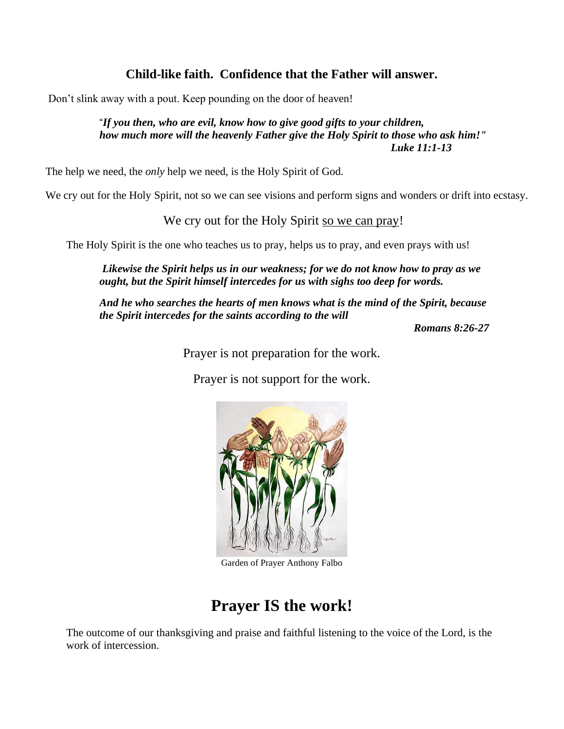# **Child-like faith. Confidence that the Father will answer.**

Don't slink away with a pout. Keep pounding on the door of heaven!

"*If you then, who are evil, know how to give good gifts to your children, how much more will the heavenly Father give the Holy Spirit to those who ask him!" Luke 11:1-13* 

The help we need, the *only* help we need, is the Holy Spirit of God.

We cry out for the Holy Spirit, not so we can see visions and perform signs and wonders or drift into ecstasy.

We cry out for the Holy Spirit so we can pray!

The Holy Spirit is the one who teaches us to pray, helps us to pray, and even prays with us!

*Likewise the Spirit helps us in our weakness; for we do not know how to pray as we ought, but the Spirit himself intercedes for us with sighs too deep for words.*

*And he who searches the hearts of men knows what is the mind of the Spirit, because the Spirit intercedes for the saints according to the will* 

*Romans 8:26-27*

Prayer is not preparation for the work.

Prayer is not support for the work.



Garden of Prayer Anthony Falbo

# **Prayer IS the work!**

The outcome of our thanksgiving and praise and faithful listening to the voice of the Lord, is the work of intercession.